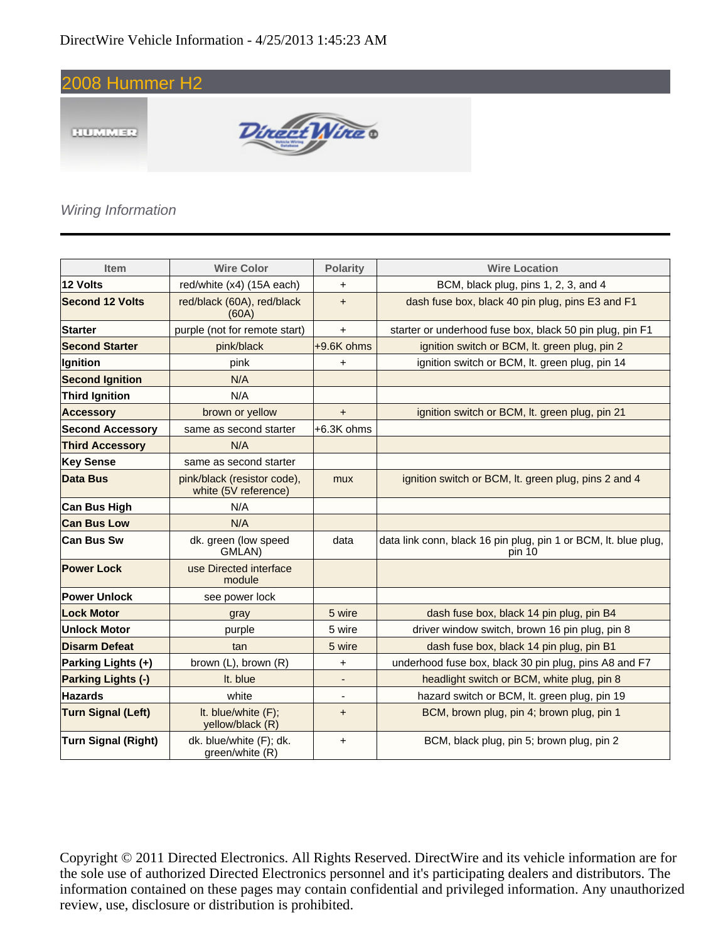

#### Wiring Information

| <b>Item</b>               | <b>Wire Color</b>                                   | <b>Polarity</b>          | <b>Wire Location</b>                                                      |
|---------------------------|-----------------------------------------------------|--------------------------|---------------------------------------------------------------------------|
| 12 Volts                  | red/white (x4) (15A each)                           | +                        | BCM, black plug, pins 1, 2, 3, and 4                                      |
| <b>Second 12 Volts</b>    | red/black (60A), red/black<br>(60A)                 | $+$                      | dash fuse box, black 40 pin plug, pins E3 and F1                          |
| <b>Starter</b>            | purple (not for remote start)                       | $+$                      | starter or underhood fuse box, black 50 pin plug, pin F1                  |
| <b>Second Starter</b>     | pink/black                                          | +9.6K ohms               | ignition switch or BCM, It. green plug, pin 2                             |
| Ignition                  | pink                                                | +                        | ignition switch or BCM, It. green plug, pin 14                            |
| <b>Second Ignition</b>    | N/A                                                 |                          |                                                                           |
| <b>Third Ignition</b>     | N/A                                                 |                          |                                                                           |
| <b>Accessory</b>          | brown or yellow                                     | $\ddot{}$                | ignition switch or BCM, It. green plug, pin 21                            |
| <b>Second Accessory</b>   | same as second starter                              | $+6.3K$ ohms             |                                                                           |
| <b>Third Accessory</b>    | N/A                                                 |                          |                                                                           |
| <b>Key Sense</b>          | same as second starter                              |                          |                                                                           |
| Data Bus                  | pink/black (resistor code),<br>white (5V reference) | mux                      | ignition switch or BCM, It. green plug, pins 2 and 4                      |
| <b>Can Bus High</b>       | N/A                                                 |                          |                                                                           |
| <b>Can Bus Low</b>        | N/A                                                 |                          |                                                                           |
| <b>Can Bus Sw</b>         | dk. green (low speed<br>GMLAN)                      | data                     | data link conn, black 16 pin plug, pin 1 or BCM, It. blue plug,<br>pin 10 |
| <b>Power Lock</b>         | use Directed interface<br>module                    |                          |                                                                           |
| <b>Power Unlock</b>       | see power lock                                      |                          |                                                                           |
| <b>Lock Motor</b>         | gray                                                | 5 wire                   | dash fuse box, black 14 pin plug, pin B4                                  |
| Unlock Motor              | purple                                              | 5 wire                   | driver window switch, brown 16 pin plug, pin 8                            |
| <b>Disarm Defeat</b>      | tan                                                 | 5 wire                   | dash fuse box, black 14 pin plug, pin B1                                  |
| Parking Lights (+)        | brown (L), brown (R)                                | $\ddot{}$                | underhood fuse box, black 30 pin plug, pins A8 and F7                     |
| <b>Parking Lights (-)</b> | It. blue                                            | $\overline{\phantom{0}}$ | headlight switch or BCM, white plug, pin 8                                |
| <b>Hazards</b>            | white                                               | ٠                        | hazard switch or BCM, It. green plug, pin 19                              |
| <b>Turn Signal (Left)</b> | It. blue/white (F);<br>yellow/black (R)             | $\ddot{}$                | BCM, brown plug, pin 4; brown plug, pin 1                                 |
| Turn Signal (Right)       | dk. blue/white (F); dk.<br>green/white (R)          | $\ddot{}$                | BCM, black plug, pin 5; brown plug, pin 2                                 |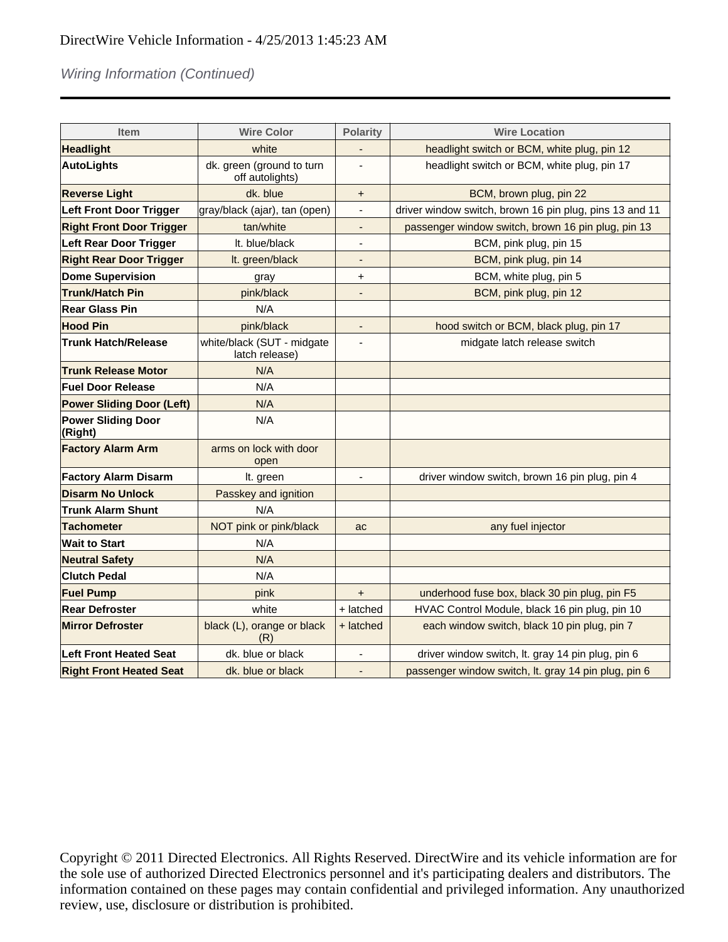### Wiring Information (Continued)

| <b>Item</b>                          | <b>Wire Color</b>                            | <b>Polarity</b>          | <b>Wire Location</b>                                    |
|--------------------------------------|----------------------------------------------|--------------------------|---------------------------------------------------------|
| <b>Headlight</b>                     | white                                        |                          | headlight switch or BCM, white plug, pin 12             |
| <b>AutoLights</b>                    | dk. green (ground to turn<br>off autolights) |                          | headlight switch or BCM, white plug, pin 17             |
| <b>Reverse Light</b>                 | dk. blue                                     | +                        | BCM, brown plug, pin 22                                 |
| <b>Left Front Door Trigger</b>       | gray/black (ajar), tan (open)                | $\overline{\phantom{0}}$ | driver window switch, brown 16 pin plug, pins 13 and 11 |
| <b>Right Front Door Trigger</b>      | tan/white                                    | ٠                        | passenger window switch, brown 16 pin plug, pin 13      |
| <b>Left Rear Door Trigger</b>        | It. blue/black                               |                          | BCM, pink plug, pin 15                                  |
| <b>Right Rear Door Trigger</b>       | It. green/black                              | -                        | BCM, pink plug, pin 14                                  |
| <b>Dome Supervision</b>              | gray                                         | +                        | BCM, white plug, pin 5                                  |
| <b>Trunk/Hatch Pin</b>               | pink/black                                   | $\overline{\phantom{0}}$ | BCM, pink plug, pin 12                                  |
| <b>Rear Glass Pin</b>                | N/A                                          |                          |                                                         |
| <b>Hood Pin</b>                      | pink/black                                   |                          | hood switch or BCM, black plug, pin 17                  |
| <b>Trunk Hatch/Release</b>           | white/black (SUT - midgate<br>latch release) |                          | midgate latch release switch                            |
| <b>Trunk Release Motor</b>           | N/A                                          |                          |                                                         |
| <b>Fuel Door Release</b>             | N/A                                          |                          |                                                         |
| <b>Power Sliding Door (Left)</b>     | N/A                                          |                          |                                                         |
| <b>Power Sliding Door</b><br>(Right) | N/A                                          |                          |                                                         |
| <b>Factory Alarm Arm</b>             | arms on lock with door<br>open               |                          |                                                         |
| <b>Factory Alarm Disarm</b>          | It. green                                    | $\overline{\phantom{a}}$ | driver window switch, brown 16 pin plug, pin 4          |
| <b>Disarm No Unlock</b>              | Passkey and ignition                         |                          |                                                         |
| <b>Trunk Alarm Shunt</b>             | N/A                                          |                          |                                                         |
| <b>Tachometer</b>                    | NOT pink or pink/black                       | ac                       | any fuel injector                                       |
| <b>Wait to Start</b>                 | N/A                                          |                          |                                                         |
| <b>Neutral Safety</b>                | N/A                                          |                          |                                                         |
| <b>Clutch Pedal</b>                  | N/A                                          |                          |                                                         |
| <b>Fuel Pump</b>                     | pink                                         | $\ddot{}$                | underhood fuse box, black 30 pin plug, pin F5           |
| <b>Rear Defroster</b>                | white                                        | + latched                | HVAC Control Module, black 16 pin plug, pin 10          |
| <b>Mirror Defroster</b>              | black (L), orange or black<br>(R)            | + latched                | each window switch, black 10 pin plug, pin 7            |
| <b>Left Front Heated Seat</b>        | dk. blue or black                            |                          | driver window switch, lt. gray 14 pin plug, pin 6       |
| <b>Right Front Heated Seat</b>       | dk, blue or black                            |                          | passenger window switch, lt. gray 14 pin plug, pin 6    |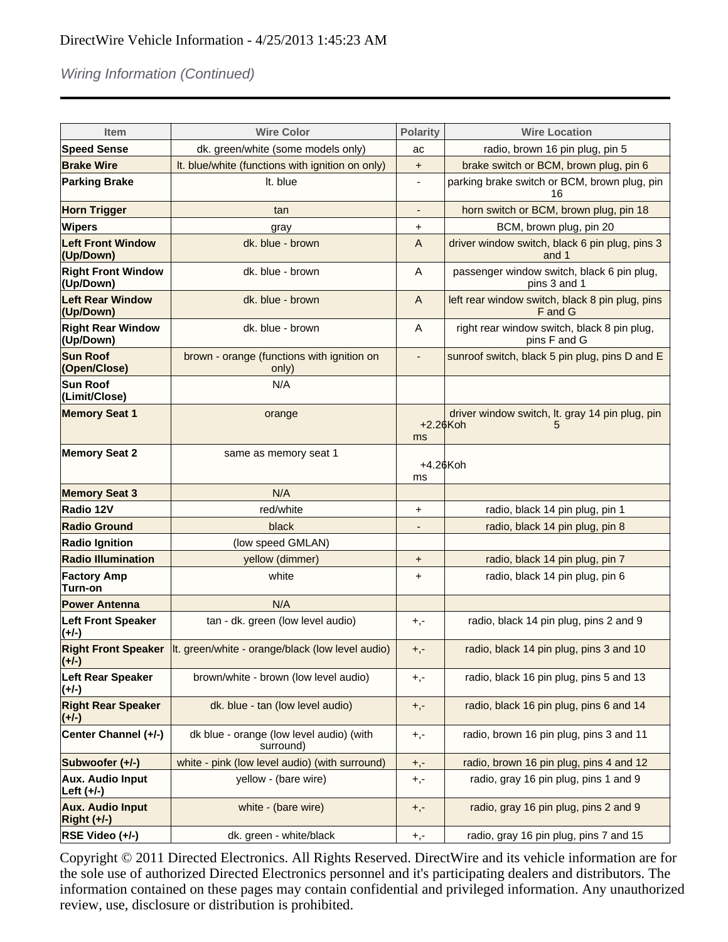# Wiring Information (Continued)

|                                          |                                                                        | <b>Polarity</b>          |                                                             |
|------------------------------------------|------------------------------------------------------------------------|--------------------------|-------------------------------------------------------------|
| <b>Item</b>                              | <b>Wire Color</b>                                                      |                          | <b>Wire Location</b>                                        |
| <b>Speed Sense</b>                       | dk. green/white (some models only)                                     |                          | radio, brown 16 pin plug, pin 5                             |
| <b>Brake Wire</b>                        | It. blue/white (functions with ignition on only)                       | $\pmb{+}$                | brake switch or BCM, brown plug, pin 6                      |
| <b>Parking Brake</b>                     | It. blue                                                               |                          | parking brake switch or BCM, brown plug, pin<br>16          |
| <b>Horn Trigger</b>                      | tan                                                                    | $\overline{\phantom{a}}$ | horn switch or BCM, brown plug, pin 18                      |
| Wipers                                   | gray                                                                   | +                        | BCM, brown plug, pin 20                                     |
| <b>Left Front Window</b><br>(Up/Down)    | dk. blue - brown                                                       | A                        | driver window switch, black 6 pin plug, pins 3<br>and 1     |
| <b>Right Front Window</b><br>(Up/Down)   | dk. blue - brown                                                       | A                        | passenger window switch, black 6 pin plug,<br>pins 3 and 1  |
| <b>Left Rear Window</b><br>(Up/Down)     | dk. blue - brown                                                       | $\overline{A}$           | left rear window switch, black 8 pin plug, pins<br>F and G  |
| <b>Right Rear Window</b><br>(Up/Down)    | dk. blue - brown                                                       | A                        | right rear window switch, black 8 pin plug,<br>pins F and G |
| <b>Sun Roof</b><br>(Open/Close)          | brown - orange (functions with ignition on<br>only)                    | $\overline{\phantom{0}}$ | sunroof switch, black 5 pin plug, pins D and E              |
| Sun Roof<br>(Limit/Close)                | N/A                                                                    |                          |                                                             |
| <b>Memory Seat 1</b>                     | orange                                                                 | $+2.26K$ oh<br><b>ms</b> | driver window switch, lt. gray 14 pin plug, pin<br>5        |
| <b>Memory Seat 2</b>                     | same as memory seat 1                                                  | +4.26Koh<br>ms           |                                                             |
| <b>Memory Seat 3</b>                     | N/A                                                                    |                          |                                                             |
| Radio 12V                                | red/white                                                              | +                        | radio, black 14 pin plug, pin 1                             |
| <b>Radio Ground</b>                      | black                                                                  |                          | radio, black 14 pin plug, pin 8                             |
| <b>Radio Ignition</b>                    | (low speed GMLAN)                                                      |                          |                                                             |
| <b>Radio Illumination</b>                | yellow (dimmer)                                                        | $\pmb{+}$                | radio, black 14 pin plug, pin 7                             |
| <b>Factory Amp</b><br>Turn-on            | white                                                                  | +                        | radio, black 14 pin plug, pin 6                             |
| <b>Power Antenna</b>                     | N/A                                                                    |                          |                                                             |
| <b>Left Front Speaker</b><br>(+/-)       | tan - dk. green (low level audio)                                      | $+,-$                    | radio, black 14 pin plug, pins 2 and 9                      |
| $(+/-)$                                  | Right Front Speaker   It. green/white - orange/black (low level audio) | $+,-$                    | radio, black 14 pin plug, pins 3 and 10                     |
| <b>Left Rear Speaker</b><br>$(+/-)$      | brown/white - brown (low level audio)                                  | $+,-$                    | radio, black 16 pin plug, pins 5 and 13                     |
| <b>Right Rear Speaker</b><br>(+/-)       | dk. blue - tan (low level audio)                                       | $+,-$                    | radio, black 16 pin plug, pins 6 and 14                     |
| Center Channel (+/-)                     | dk blue - orange (low level audio) (with<br>surround)                  | $+,-$                    | radio, brown 16 pin plug, pins 3 and 11                     |
| Subwoofer (+/-)                          | white - pink (low level audio) (with surround)                         | $+, -$                   | radio, brown 16 pin plug, pins 4 and 12                     |
| <b>Aux. Audio Input</b><br>Left (+/-)    | yellow - (bare wire)                                                   | $+,-$                    | radio, gray 16 pin plug, pins 1 and 9                       |
| <b>Aux. Audio Input</b><br>$Right (+/-)$ | white - (bare wire)                                                    | $+,-$                    | radio, gray 16 pin plug, pins 2 and 9                       |
| RSE Video (+/-)                          | dk. green - white/black                                                | $+,-$                    | radio, gray 16 pin plug, pins 7 and 15                      |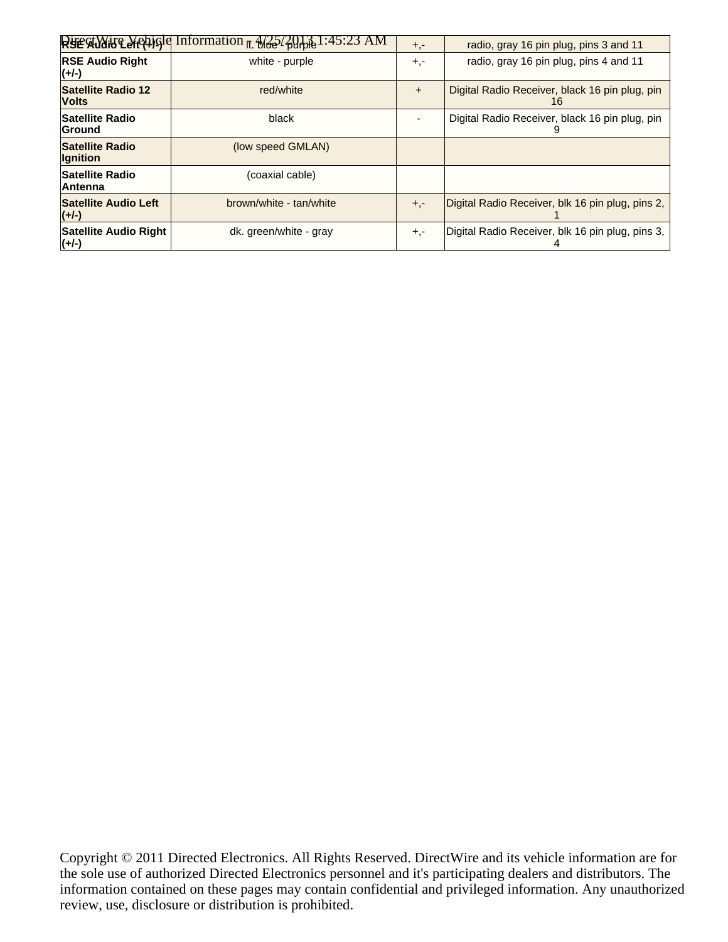|                                         | $R$ se Allais Leftigle Information $\pi$ , $\frac{4}{32}$ / $\frac{201}{60}$ l : 45:23 AM | $+, -$ | radio, gray 16 pin plug, pins 3 and 11               |
|-----------------------------------------|-------------------------------------------------------------------------------------------|--------|------------------------------------------------------|
| <b>RSE Audio Right</b><br>$(+/+)$       | white - purple                                                                            | $+,-$  | radio, gray 16 pin plug, pins 4 and 11               |
| Satellite Radio 12<br><b>Volts</b>      | red/white                                                                                 | $+$    | Digital Radio Receiver, black 16 pin plug, pin<br>16 |
| <b>Satellite Radio</b><br><b>Ground</b> | black                                                                                     |        | Digital Radio Receiver, black 16 pin plug, pin       |
| Satellite Radio<br><b>Ignition</b>      | (low speed GMLAN)                                                                         |        |                                                      |
| <b>Satellite Radio</b><br>∣Antenna      | (coaxial cable)                                                                           |        |                                                      |
| Satellite Audio Left<br>$(+/-)$         | brown/white - tan/white                                                                   | $+,-$  | Digital Radio Receiver, blk 16 pin plug, pins 2,     |
| Satellite Audio Right<br>$(+/-)$        | dk. green/white - gray                                                                    | $+,-$  | Digital Radio Receiver, blk 16 pin plug, pins 3,     |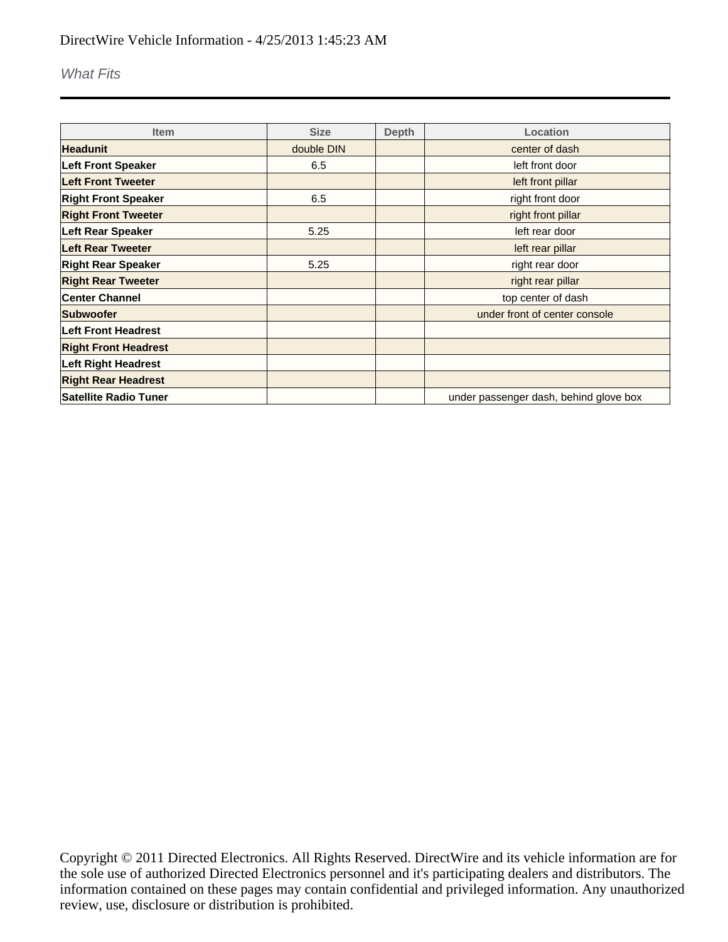#### What Fits

| <b>Item</b>                  | <b>Size</b> | <b>Depth</b> | Location                               |
|------------------------------|-------------|--------------|----------------------------------------|
| <b>Headunit</b>              | double DIN  |              | center of dash                         |
| <b>Left Front Speaker</b>    | 6.5         |              | left front door                        |
| <b>Left Front Tweeter</b>    |             |              | left front pillar                      |
| <b>Right Front Speaker</b>   | 6.5         |              | right front door                       |
| <b>Right Front Tweeter</b>   |             |              | right front pillar                     |
| <b>Left Rear Speaker</b>     | 5.25        |              | left rear door                         |
| Left Rear Tweeter            |             |              | left rear pillar                       |
| <b>Right Rear Speaker</b>    | 5.25        |              | right rear door                        |
| <b>Right Rear Tweeter</b>    |             |              | right rear pillar                      |
| <b>Center Channel</b>        |             |              | top center of dash                     |
| <b>Subwoofer</b>             |             |              | under front of center console          |
| <b>Left Front Headrest</b>   |             |              |                                        |
| <b>Right Front Headrest</b>  |             |              |                                        |
| <b>Left Right Headrest</b>   |             |              |                                        |
| <b>Right Rear Headrest</b>   |             |              |                                        |
| <b>Satellite Radio Tuner</b> |             |              | under passenger dash, behind glove box |